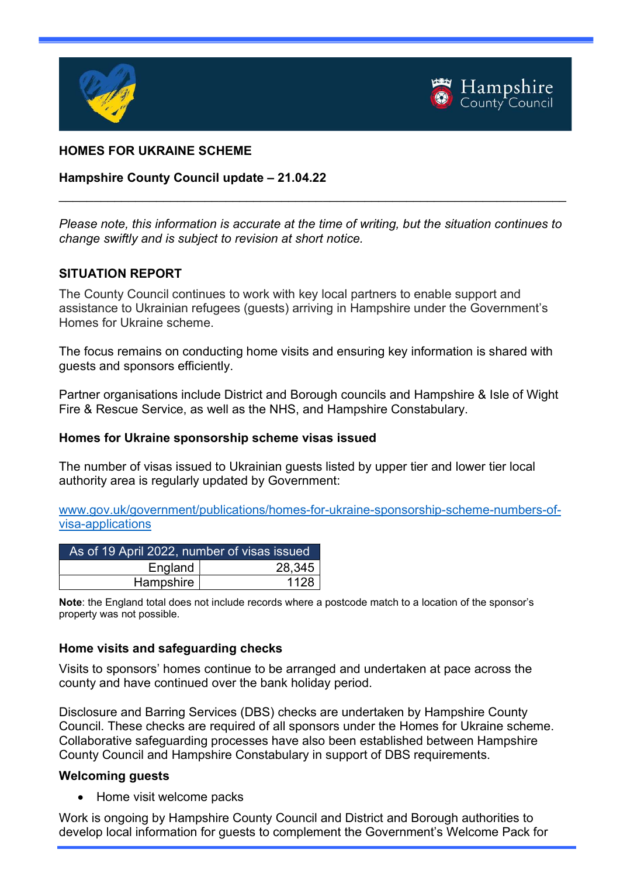



# HOMES FOR UKRAINE SCHEME

#### Hampshire County Council update – 21.04.22

Please note, this information is accurate at the time of writing, but the situation continues to change swiftly and is subject to revision at short notice.

 $\_$  , and the set of the set of the set of the set of the set of the set of the set of the set of the set of the set of the set of the set of the set of the set of the set of the set of the set of the set of the set of th

#### SITUATION REPORT

The County Council continues to work with key local partners to enable support and assistance to Ukrainian refugees (guests) arriving in Hampshire under the Government's Homes for Ukraine scheme.

The focus remains on conducting home visits and ensuring key information is shared with guests and sponsors efficiently.

Partner organisations include District and Borough councils and Hampshire & Isle of Wight Fire & Rescue Service, as well as the NHS, and Hampshire Constabulary.

#### Homes for Ukraine sponsorship scheme visas issued

The number of visas issued to Ukrainian guests listed by upper tier and lower tier local authority area is regularly updated by Government:

www.gov.uk/government/publications/homes-for-ukraine-sponsorship-scheme-numbers-ofvisa-applications

| As of 19 April 2022, number of visas issued |        |
|---------------------------------------------|--------|
| England                                     | 28,345 |
| Hampshire                                   | 1128   |

Note: the England total does not include records where a postcode match to a location of the sponsor's property was not possible.

#### Home visits and safeguarding checks

Visits to sponsors' homes continue to be arranged and undertaken at pace across the county and have continued over the bank holiday period.

Disclosure and Barring Services (DBS) checks are undertaken by Hampshire County Council. These checks are required of all sponsors under the Homes for Ukraine scheme. Collaborative safeguarding processes have also been established between Hampshire County Council and Hampshire Constabulary in support of DBS requirements.

#### Welcoming guests

• Home visit welcome packs

Work is ongoing by Hampshire County Council and District and Borough authorities to develop local information for guests to complement the Government's Welcome Pack for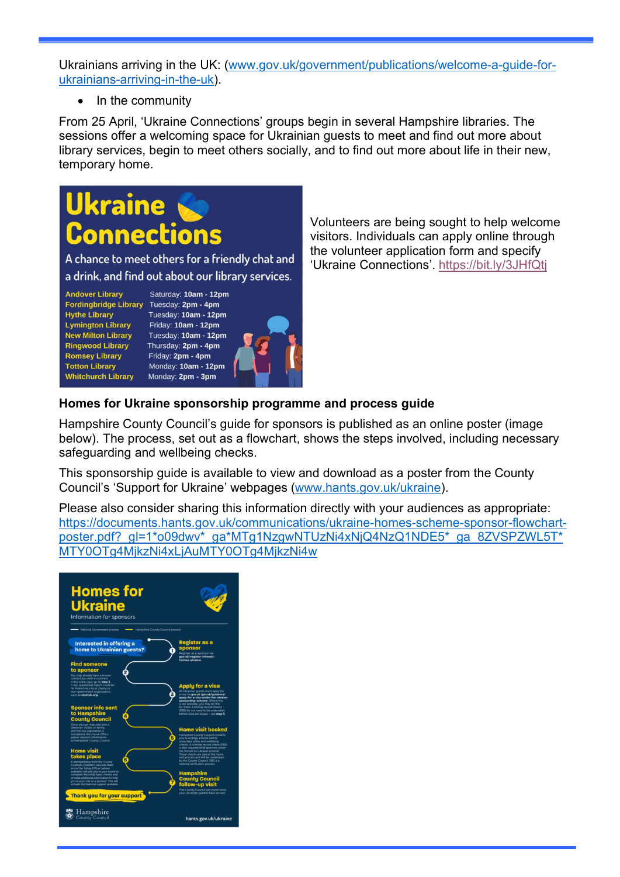Ukrainians arriving in the UK: (www.gov.uk/government/publications/welcome-a-guide-forukrainians-arriving-in-the-uk).

 $\bullet$  In the community

From 25 April, 'Ukraine Connections' groups begin in several Hampshire libraries. The sessions offer a welcoming space for Ukrainian guests to meet and find out more about library services, begin to meet others socially, and to find out more about life in their new, temporary home.

# **Ukraine Connections**

A chance to meet others for a friendly chat and a drink, and find out about our library services.

**Andover Library** Fordingbridge Library Tuesday: 2pm - 4pm **Hythe Library Lymington Library New Milton Library Ringwood Library Romsey Library Totton Library Whitchurch Library** 

Saturday: 10am - 12pm Tuesday: 10am - 12pm Friday: 10am - 12pm Tuesday: 10am - 12pm Thursday: 2pm - 4pm Friday: 2pm - 4pm Monday: 10am - 12pm Monday: 2pm - 3pm



Volunteers are being sought to help welcome visitors. Individuals can apply online through the volunteer application form and specify 'Ukraine Connections'. https://bit.ly/3JHfQtj

# Homes for Ukraine sponsorship programme and process guide

Hampshire County Council's guide for sponsors is published as an online poster (image below). The process, set out as a flowchart, shows the steps involved, including necessary safeguarding and wellbeing checks.

This sponsorship guide is available to view and download as a poster from the County Council's 'Support for Ukraine' webpages (www.hants.gov.uk/ukraine).

Please also consider sharing this information directly with your audiences as appropriate: https://documents.hants.gov.uk/communications/ukraine-homes-scheme-sponsor-flowchartposter.pdf?\_gl=1\*o09dwv\*\_ga\*MTg1NzgwNTUzNi4xNjQ4NzQ1NDE5\*\_ga\_8ZVSPZWL5T\* MTY0OTg4MjkzNi4xLjAuMTY0OTg4MjkzNi4w

| <b>Homes for</b><br><b>Ukraine</b><br>Information for sponsors<br>National Government process<br>Hampshire County Council process                                                                                    |                                                                                                                                                                                                                                  |
|----------------------------------------------------------------------------------------------------------------------------------------------------------------------------------------------------------------------|----------------------------------------------------------------------------------------------------------------------------------------------------------------------------------------------------------------------------------|
| <b>Interested in offering a</b><br>home to Ukrainian guests?                                                                                                                                                         | <b>Register as a</b><br>sponsor<br>Register as a sponsor via<br>gov.uk/register-interest-                                                                                                                                        |
| <b>Find someone</b><br>to sponsor<br>You may already have a known<br>contact you wish to sponsor.                                                                                                                    | homes-ukraine.                                                                                                                                                                                                                   |
| If this is the case, go to step 3<br>If not, a potential match could be<br>facilitated via a local charity or<br>non-government organisation.<br>such as resetuk.org                                                 | <b>Apply for a visa</b><br>All Ukrainian quests must apply for<br>3<br>a visa via gov.uk (gov.uk/guidance/<br>apply-for-a-visa-under-the-ukraine-<br>sponsorship-scheme . Where this                                             |
| <b>Sponsor info sent</b><br>to Hampshire<br>$\overline{\mathbf{a}}$<br><b>County Council</b><br>Once you are matched with a                                                                                          | is not possible, you may do this<br>for them. Criminal record checks<br>(DBS) do not need to be undertaken<br>before visas are issued - see step 5.                                                                              |
| Ukrainian citizen or family<br>and the visa application is<br>completed, the Home Office<br>passes sponsor information<br>to Hampshire County Council.                                                               | <b>Home visit booked</b><br><b>Hampshire County Council contacts</b><br>R<br>you to arrange a home visit to<br>undertake safety and wellbeing<br>checks. A criminal record check (DBS)<br>is also required of all sponsors under |
| <b>Home visit</b><br>takes place<br>A representative from the County<br>Council's Children's Services team<br>and a Fire Safety Officer (where                                                                       | the Homes for Ukraine scheme.<br>These checks are part of the home<br>visit process and will be undertaken<br>by the County Council. DBS is a<br>national verification process                                                   |
| available) will visit you in your home to<br>complete the initial, basic checks and<br>provide additional information to help<br>you in your role as a sponsor. This will<br>include the financial support available | <b>Hampshire</b><br><b>County Council</b><br>7<br>follow-up visit<br>The County Council will revisit once<br>your Ukrainian guest/s have arrived.                                                                                |
| Thank you for your support<br>Hampshire<br>County Council                                                                                                                                                            |                                                                                                                                                                                                                                  |
|                                                                                                                                                                                                                      | hants.gov.uk/ukraine                                                                                                                                                                                                             |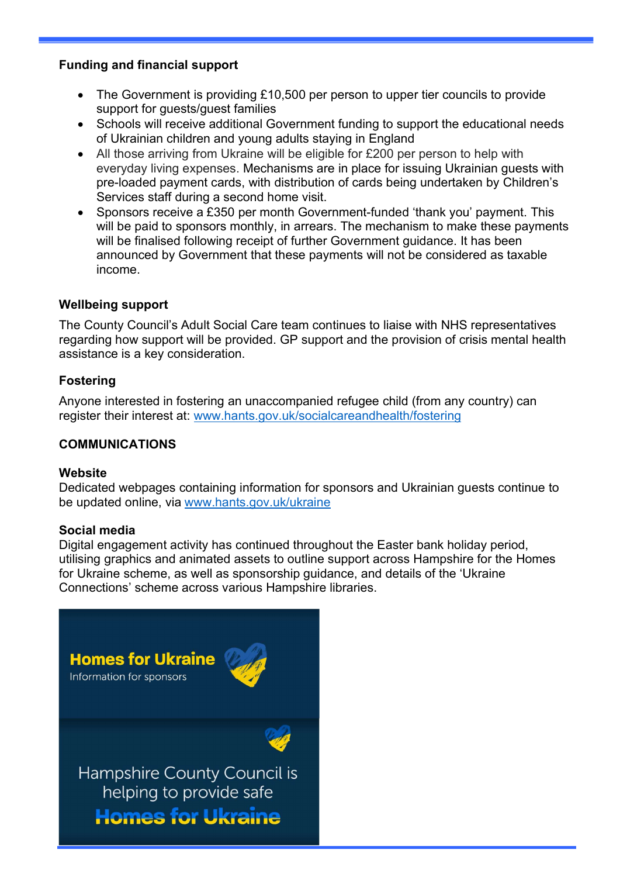## Funding and financial support

- The Government is providing £10,500 per person to upper tier councils to provide support for guests/guest families
- Schools will receive additional Government funding to support the educational needs of Ukrainian children and young adults staying in England
- All those arriving from Ukraine will be eligible for £200 per person to help with everyday living expenses. Mechanisms are in place for issuing Ukrainian guests with pre-loaded payment cards, with distribution of cards being undertaken by Children's Services staff during a second home visit.
- Sponsors receive a £350 per month Government-funded 'thank you' payment. This will be paid to sponsors monthly, in arrears. The mechanism to make these payments will be finalised following receipt of further Government guidance. It has been announced by Government that these payments will not be considered as taxable income.

# Wellbeing support

The County Council's Adult Social Care team continues to liaise with NHS representatives regarding how support will be provided. GP support and the provision of crisis mental health assistance is a key consideration.

#### Fostering

Anyone interested in fostering an unaccompanied refugee child (from any country) can register their interest at: www.hants.gov.uk/socialcareandhealth/fostering

## COMMUNICATIONS

#### **Website**

Dedicated webpages containing information for sponsors and Ukrainian guests continue to be updated online, via www.hants.gov.uk/ukraine

#### Social media

Digital engagement activity has continued throughout the Easter bank holiday period, utilising graphics and animated assets to outline support across Hampshire for the Homes for Ukraine scheme, as well as sponsorship guidance, and details of the 'Ukraine Connections' scheme across various Hampshire libraries.